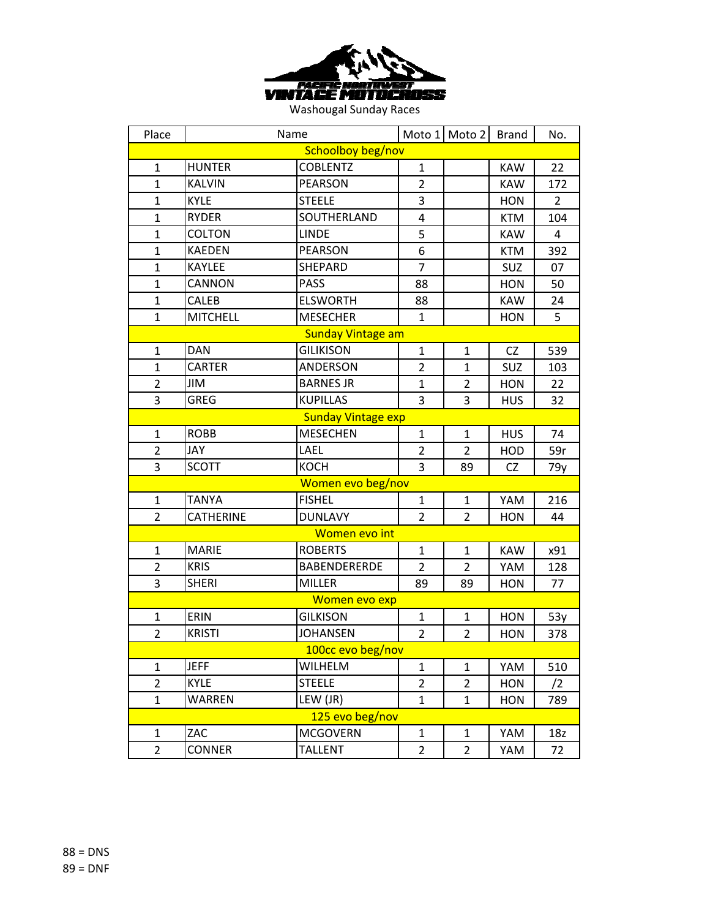

| Place                     | Name             |                          |                | Moto 1 Moto 2  | <b>Brand</b> | No.            |  |
|---------------------------|------------------|--------------------------|----------------|----------------|--------------|----------------|--|
|                           |                  | Schoolboy beg/nov        |                |                |              |                |  |
| $\mathbf{1}$              | <b>HUNTER</b>    | <b>COBLENTZ</b>          | $\mathbf{1}$   |                | <b>KAW</b>   | 22             |  |
| $\mathbf{1}$              | <b>KALVIN</b>    | <b>PEARSON</b>           | $\overline{2}$ |                | <b>KAW</b>   | 172            |  |
| $\mathbf{1}$              | <b>KYLE</b>      | <b>STEELE</b>            | 3              |                | <b>HON</b>   | $\overline{2}$ |  |
| $\mathbf{1}$              | <b>RYDER</b>     | SOUTHERLAND              | 4              |                | <b>KTM</b>   | 104            |  |
| $\mathbf{1}$              | <b>COLTON</b>    | <b>LINDE</b>             | 5              |                | <b>KAW</b>   | 4              |  |
| $\mathbf{1}$              | <b>KAEDEN</b>    | <b>PEARSON</b>           | 6              |                | <b>KTM</b>   | 392            |  |
| $\mathbf{1}$              | <b>KAYLEE</b>    | SHEPARD                  | $\overline{7}$ |                | <b>SUZ</b>   | 07             |  |
| $\mathbf{1}$              | <b>CANNON</b>    | <b>PASS</b>              | 88             |                | <b>HON</b>   | 50             |  |
| 1                         | CALEB            | <b>ELSWORTH</b>          | 88             |                | <b>KAW</b>   | 24             |  |
| $\mathbf{1}$              | <b>MITCHELL</b>  | <b>MESECHER</b>          | $\mathbf{1}$   |                | <b>HON</b>   | 5              |  |
|                           |                  | <b>Sunday Vintage am</b> |                |                |              |                |  |
| $\mathbf{1}$              | <b>DAN</b>       | <b>GILIKISON</b>         | $\mathbf{1}$   | $\mathbf{1}$   | CZ           | 539            |  |
| $\mathbf{1}$              | <b>CARTER</b>    | ANDERSON                 | $\overline{2}$ | $\mathbf{1}$   | SUZ          | 103            |  |
| 2                         | JIM              | <b>BARNES JR</b>         | $\mathbf{1}$   | 2              | <b>HON</b>   | 22             |  |
| 3                         | <b>GREG</b>      | <b>KUPILLAS</b>          | 3              | 3              | <b>HUS</b>   | 32             |  |
| <b>Sunday Vintage exp</b> |                  |                          |                |                |              |                |  |
| $\mathbf{1}$              | <b>ROBB</b>      | <b>MESECHEN</b>          | $\mathbf{1}$   | $\mathbf{1}$   | <b>HUS</b>   | 74             |  |
| $\overline{2}$            | <b>JAY</b>       | LAEL                     | $\overline{2}$ | $\overline{2}$ | HOD          | 59r            |  |
| 3                         | <b>SCOTT</b>     | <b>KOCH</b>              | 3              | 89             | CZ           | 79y            |  |
|                           |                  | Women evo beg/nov        |                |                |              |                |  |
| $\mathbf{1}$              | <b>TANYA</b>     | <b>FISHEL</b>            | $\mathbf{1}$   | $\mathbf{1}$   | YAM          | 216            |  |
| $\overline{2}$            | <b>CATHERINE</b> | <b>DUNLAVY</b>           | $\overline{2}$ | $\overline{2}$ | HON          | 44             |  |
|                           |                  | Women evo int            |                |                |              |                |  |
| $\mathbf{1}$              | <b>MARIE</b>     | <b>ROBERTS</b>           | $\mathbf{1}$   | $\mathbf{1}$   | <b>KAW</b>   | x91            |  |
| $\overline{2}$            | <b>KRIS</b>      | <b>BABENDERERDE</b>      | $\overline{2}$ | $\overline{2}$ | YAM          | 128            |  |
| 3                         | <b>SHERI</b>     | <b>MILLER</b>            | 89             | 89             | <b>HON</b>   | 77             |  |
|                           |                  | Women evo exp            |                |                |              |                |  |
| $\mathbf{1}$              | ERIN             | <b>GILKISON</b>          | $\mathbf{1}$   | $\mathbf{1}$   | <b>HON</b>   | 53y            |  |
| $\overline{2}$            | <b>KRISTI</b>    | <b>JOHANSEN</b>          | $\overline{2}$ | $\overline{2}$ | <b>HON</b>   | 378            |  |
|                           |                  | 100cc evo beg/nov        |                |                |              |                |  |
| $\mathbf{1}$              | <b>JEFF</b>      | <b>WILHELM</b>           | $\mathbf{1}$   | $\mathbf{1}$   | YAM          | 510            |  |
| 2                         | <b>KYLE</b>      | <b>STEELE</b>            | $\overline{2}$ | $\overline{2}$ | <b>HON</b>   | /2             |  |
| $\mathbf{1}$              | <b>WARREN</b>    | LEW (JR)                 | $\mathbf{1}$   | $\mathbf{1}$   | <b>HON</b>   | 789            |  |
|                           |                  | 125 evo beg/nov          |                |                |              |                |  |
| 1                         | ZAC              | <b>MCGOVERN</b>          | $\mathbf{1}$   | 1              | YAM          | 18z            |  |
| $\overline{2}$            | <b>CONNER</b>    | <b>TALLENT</b>           | $\overline{2}$ | $\overline{2}$ | YAM          | 72             |  |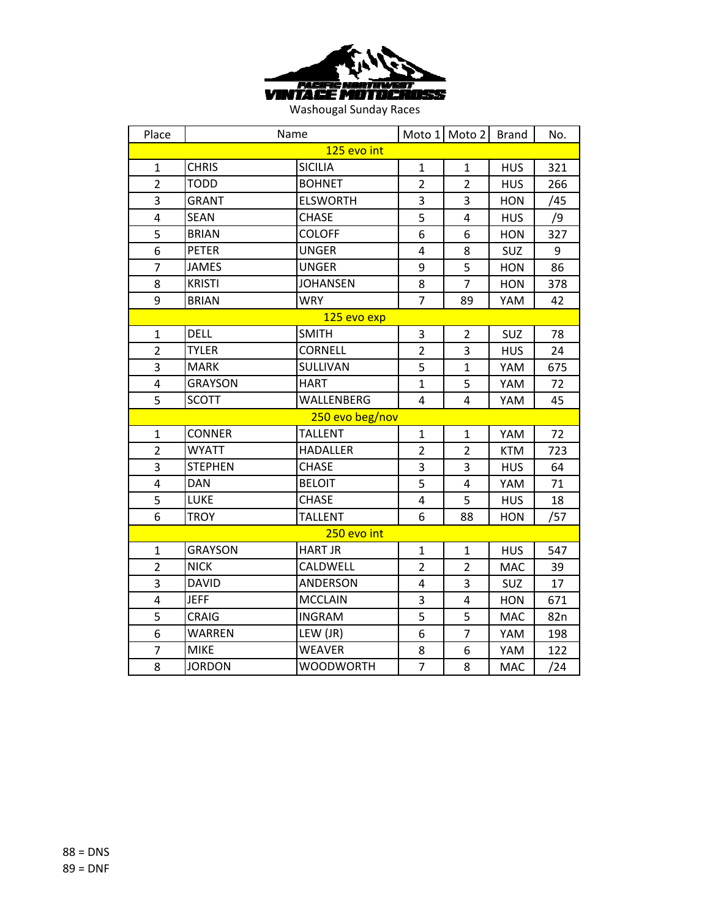

| Place          | Name            |                  |                | Moto 1 Moto 2  | <b>Brand</b> | No. |  |  |
|----------------|-----------------|------------------|----------------|----------------|--------------|-----|--|--|
|                |                 | 125 evo int      |                |                |              |     |  |  |
| $\mathbf{1}$   | <b>CHRIS</b>    | <b>SICILIA</b>   | $\mathbf{1}$   | $\mathbf{1}$   | <b>HUS</b>   | 321 |  |  |
| $\overline{2}$ | <b>TODD</b>     | <b>BOHNET</b>    | $\overline{2}$ | $\overline{2}$ | <b>HUS</b>   | 266 |  |  |
| 3              | GRANT           | <b>ELSWORTH</b>  | 3              | 3              | <b>HON</b>   | /45 |  |  |
| 4              | <b>SEAN</b>     | <b>CHASE</b>     | 5              | 4              | <b>HUS</b>   | /9  |  |  |
| 5              | <b>BRIAN</b>    | <b>COLOFF</b>    | 6              | 6              | <b>HON</b>   | 327 |  |  |
| $\overline{6}$ | <b>PETER</b>    | <b>UNGER</b>     | 4              | 8              | SUZ          | 9   |  |  |
| 7              | JAMES           | <b>UNGER</b>     | 9              | 5              | <b>HON</b>   | 86  |  |  |
| 8              | <b>KRISTI</b>   | <b>JOHANSEN</b>  | 8              | $\overline{7}$ | <b>HON</b>   | 378 |  |  |
| 9              | <b>BRIAN</b>    | <b>WRY</b>       | $\overline{7}$ | 89             | YAM          | 42  |  |  |
|                |                 | 125 evo exp      |                |                |              |     |  |  |
| $\mathbf{1}$   | <b>DELL</b>     | <b>SMITH</b>     | 3              | $\overline{2}$ | SUZ          | 78  |  |  |
| $\overline{2}$ | <b>TYLER</b>    | <b>CORNELL</b>   | $\overline{2}$ | 3              | <b>HUS</b>   | 24  |  |  |
| 3              | <b>MARK</b>     | SULLIVAN         | 5              | $\mathbf{1}$   | YAM          | 675 |  |  |
| 4              | <b>GRAYSON</b>  | <b>HART</b>      | $\mathbf{1}$   | 5              | YAM          | 72  |  |  |
| 5              | <b>SCOTT</b>    | WALLENBERG       | $\overline{4}$ | 4              | YAM          | 45  |  |  |
|                | 250 evo beg/nov |                  |                |                |              |     |  |  |
| $\mathbf{1}$   | <b>CONNER</b>   | <b>TALLENT</b>   | $\mathbf{1}$   | $\mathbf{1}$   | YAM          | 72  |  |  |
| $\overline{2}$ | <b>WYATT</b>    | <b>HADALLER</b>  | $\overline{2}$ | $\overline{2}$ | <b>KTM</b>   | 723 |  |  |
| 3              | <b>STEPHEN</b>  | <b>CHASE</b>     | 3              | 3              | <b>HUS</b>   | 64  |  |  |
| 4              | <b>DAN</b>      | <b>BELOIT</b>    | 5              | 4              | YAM          | 71  |  |  |
| 5              | <b>LUKE</b>     | <b>CHASE</b>     | 4              | 5              | <b>HUS</b>   | 18  |  |  |
| 6              | <b>TROY</b>     | <b>TALLENT</b>   | 6              | 88             | <b>HON</b>   | /57 |  |  |
|                |                 | 250 evo int      |                |                |              |     |  |  |
| $\mathbf{1}$   | <b>GRAYSON</b>  | <b>HART JR</b>   | $\mathbf{1}$   | $\overline{1}$ | <b>HUS</b>   | 547 |  |  |
| $\overline{2}$ | <b>NICK</b>     | CALDWELL         | $\overline{2}$ | $\overline{2}$ | <b>MAC</b>   | 39  |  |  |
| 3              | <b>DAVID</b>    | <b>ANDERSON</b>  | 4              | 3              | SUZ          | 17  |  |  |
| $\overline{4}$ | <b>JEFF</b>     | <b>MCCLAIN</b>   | 3              | $\overline{4}$ | <b>HON</b>   | 671 |  |  |
| 5              | <b>CRAIG</b>    | <b>INGRAM</b>    | 5              | 5              | <b>MAC</b>   | 82n |  |  |
| 6              | WARREN          | LEW (JR)         | 6              | $\overline{7}$ | YAM          | 198 |  |  |
| 7              | <b>MIKE</b>     | <b>WEAVER</b>    | 8              | 6              | YAM          | 122 |  |  |
| 8              | <b>JORDON</b>   | <b>WOODWORTH</b> | $\overline{7}$ | 8              | <b>MAC</b>   | /24 |  |  |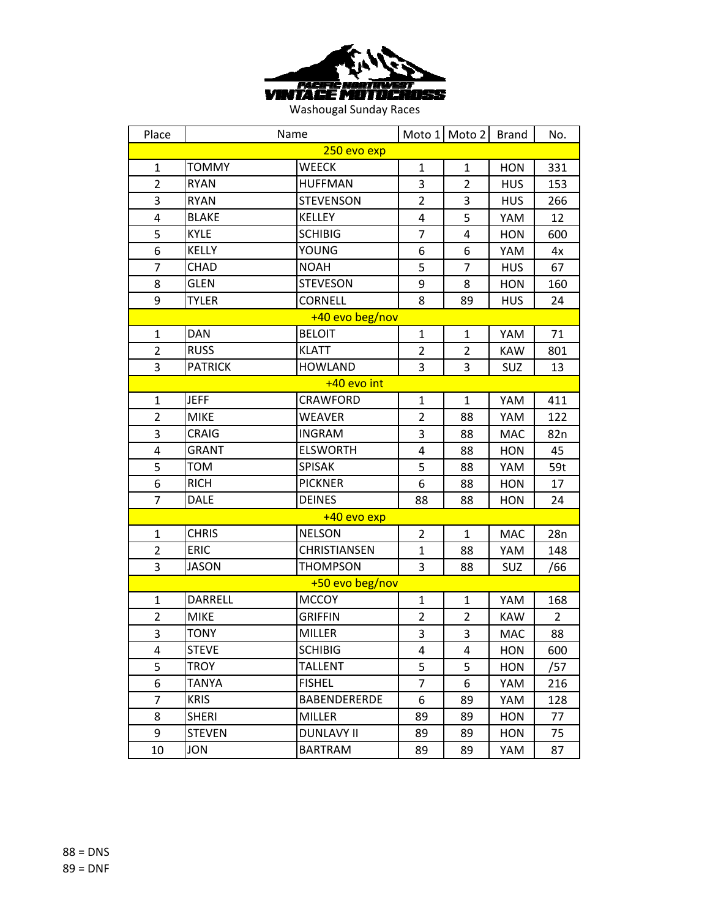

| Place          | Name           |                     |                | Moto 1 Moto 2  | <b>Brand</b> | No.            |  |
|----------------|----------------|---------------------|----------------|----------------|--------------|----------------|--|
| 250 evo exp    |                |                     |                |                |              |                |  |
| $\mathbf{1}$   | <b>TOMMY</b>   | <b>WEECK</b>        | $\mathbf{1}$   | $\mathbf{1}$   | <b>HON</b>   | 331            |  |
| $\overline{2}$ | <b>RYAN</b>    | <b>HUFFMAN</b>      | 3              | $\overline{2}$ | <b>HUS</b>   | 153            |  |
| 3              | <b>RYAN</b>    | <b>STEVENSON</b>    | $\overline{2}$ | 3              | <b>HUS</b>   | 266            |  |
| 4              | <b>BLAKE</b>   | <b>KELLEY</b>       | 4              | 5              | YAM          | 12             |  |
| 5              | KYLE           | <b>SCHIBIG</b>      | $\overline{7}$ | 4              | <b>HON</b>   | 600            |  |
| 6              | <b>KELLY</b>   | YOUNG               | 6              | 6              | YAM          | 4x             |  |
| $\overline{7}$ | <b>CHAD</b>    | <b>NOAH</b>         | 5              | 7              | <b>HUS</b>   | 67             |  |
| 8              | <b>GLEN</b>    | <b>STEVESON</b>     | 9              | 8              | <b>HON</b>   | 160            |  |
| 9              | <b>TYLER</b>   | <b>CORNELL</b>      | 8              | 89             | <b>HUS</b>   | 24             |  |
|                |                | +40 evo beg/nov     |                |                |              |                |  |
| $\mathbf{1}$   | <b>DAN</b>     | <b>BELOIT</b>       | $\mathbf{1}$   | $\mathbf{1}$   | YAM          | 71             |  |
| $\overline{2}$ | <b>RUSS</b>    | <b>KLATT</b>        | $\overline{2}$ | $\overline{2}$ | <b>KAW</b>   | 801            |  |
| 3              | <b>PATRICK</b> | <b>HOWLAND</b>      | 3              | 3              | SUZ          | 13             |  |
| $+40$ evo int  |                |                     |                |                |              |                |  |
| $\mathbf{1}$   | <b>JEFF</b>    | <b>CRAWFORD</b>     | $\mathbf{1}$   | $\mathbf{1}$   | YAM          | 411            |  |
| $\overline{2}$ | <b>MIKE</b>    | <b>WEAVER</b>       | $\overline{2}$ | 88             | YAM          | 122            |  |
| 3              | CRAIG          | <b>INGRAM</b>       | 3              | 88             | <b>MAC</b>   | 82n            |  |
| 4              | GRANT          | <b>ELSWORTH</b>     | 4              | 88             | <b>HON</b>   | 45             |  |
| 5              | <b>TOM</b>     | <b>SPISAK</b>       | 5              | 88             | YAM          | 59t            |  |
| 6              | <b>RICH</b>    | <b>PICKNER</b>      | 6              | 88             | <b>HON</b>   | 17             |  |
| 7              | <b>DALE</b>    | <b>DEINES</b>       | 88             | 88             | <b>HON</b>   | 24             |  |
|                |                | +40 evo exp         |                |                |              |                |  |
| $\mathbf{1}$   | <b>CHRIS</b>   | <b>NELSON</b>       | $\overline{2}$ | $\mathbf{1}$   | <b>MAC</b>   | 28n            |  |
| $\overline{2}$ | <b>ERIC</b>    | CHRISTIANSEN        | $\mathbf{1}$   | 88             | YAM          | 148            |  |
| 3              | <b>JASON</b>   | <b>THOMPSON</b>     | 3              | 88             | SUZ          | /66            |  |
|                |                | +50 evo beg/nov     |                |                |              |                |  |
| $\mathbf{1}$   | DARRELL        | <b>MCCOY</b>        | $\mathbf{1}$   | 1              | YAM          | 168            |  |
| $\overline{2}$ | <b>MIKE</b>    | <b>GRIFFIN</b>      | $\overline{2}$ | $\overline{2}$ | <b>KAW</b>   | $\overline{2}$ |  |
| 3              | <b>TONY</b>    | <b>MILLER</b>       | 3              | 3              | MAC          | 88             |  |
| 4              | <b>STEVE</b>   | <b>SCHIBIG</b>      | 4              | 4              | <b>HON</b>   | 600            |  |
| 5              | <b>TROY</b>    | <b>TALLENT</b>      | 5              | 5              | <b>HON</b>   | /57            |  |
| 6              | TANYA          | <b>FISHEL</b>       | 7              | 6              | YAM          | 216            |  |
| $\overline{7}$ | <b>KRIS</b>    | <b>BABENDERERDE</b> | 6              | 89             | YAM          | 128            |  |
| 8              | <b>SHERI</b>   | <b>MILLER</b>       | 89             | 89             | <b>HON</b>   | 77             |  |
| 9              | <b>STEVEN</b>  | <b>DUNLAVY II</b>   | 89             | 89             | HON          | 75             |  |
| 10             | JON            | <b>BARTRAM</b>      | 89             | 89             | YAM          | 87             |  |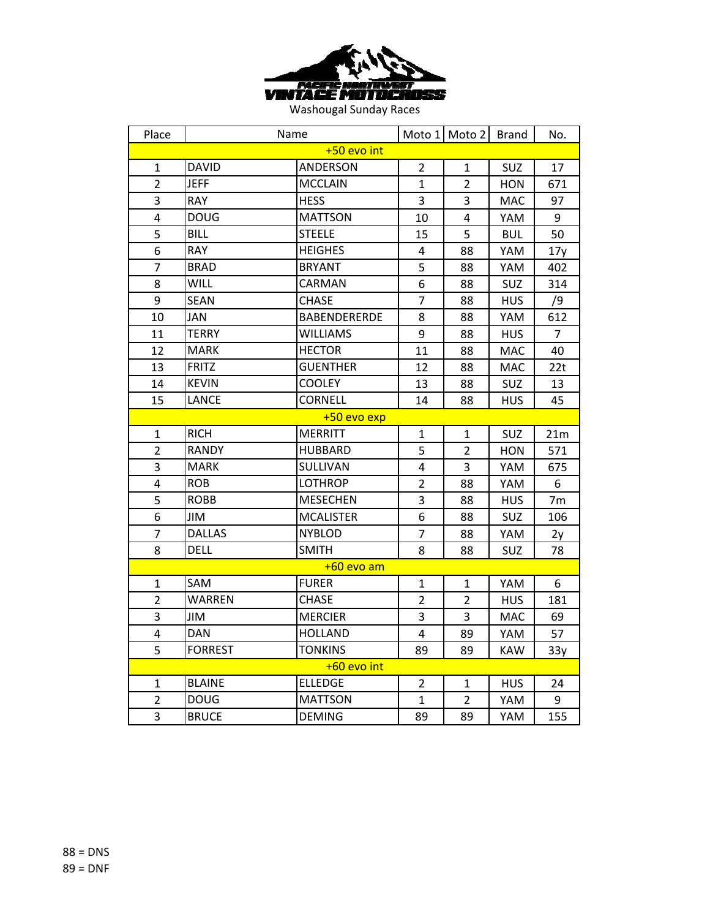

| Place          | Name           |                     |                | Moto 1 Moto 2  | <b>Brand</b> | No.            |  |
|----------------|----------------|---------------------|----------------|----------------|--------------|----------------|--|
| +50 evo int    |                |                     |                |                |              |                |  |
| $\mathbf{1}$   | <b>DAVID</b>   | ANDERSON            | $\overline{2}$ | $\mathbf{1}$   | SUZ          | 17             |  |
| $\overline{2}$ | <b>JEFF</b>    | <b>MCCLAIN</b>      | $\mathbf{1}$   | $\overline{2}$ | <b>HON</b>   | 671            |  |
| 3              | <b>RAY</b>     | <b>HESS</b>         | 3              | 3              | <b>MAC</b>   | 97             |  |
| 4              | <b>DOUG</b>    | <b>MATTSON</b>      | 10             | 4              | YAM          | 9              |  |
| 5              | <b>BILL</b>    | <b>STEELE</b>       | 15             | 5              | <b>BUL</b>   | 50             |  |
| 6              | <b>RAY</b>     | <b>HEIGHES</b>      | 4              | 88             | YAM          | 17y            |  |
| $\overline{7}$ | <b>BRAD</b>    | <b>BRYANT</b>       | 5              | 88             | YAM          | 402            |  |
| 8              | <b>WILL</b>    | CARMAN              | 6              | 88             | SUZ          | 314            |  |
| 9              | <b>SEAN</b>    | <b>CHASE</b>        | $\overline{7}$ | 88             | <b>HUS</b>   | /9             |  |
| 10             | JAN            | <b>BABENDERERDE</b> | 8              | 88             | YAM          | 612            |  |
| 11             | <b>TERRY</b>   | <b>WILLIAMS</b>     | 9              | 88             | <b>HUS</b>   | $\overline{7}$ |  |
| 12             | <b>MARK</b>    | <b>HECTOR</b>       | 11             | 88             | <b>MAC</b>   | 40             |  |
| 13             | <b>FRITZ</b>   | <b>GUENTHER</b>     | 12             | 88             | <b>MAC</b>   | 22t            |  |
| 14             | <b>KEVIN</b>   | <b>COOLEY</b>       | 13             | 88             | SUZ          | 13             |  |
| 15             | LANCE          | <b>CORNELL</b>      | 14             | 88             | <b>HUS</b>   | 45             |  |
| +50 evo exp    |                |                     |                |                |              |                |  |
| $\mathbf{1}$   | <b>RICH</b>    | <b>MERRITT</b>      | $\mathbf{1}$   | $\mathbf{1}$   | SUZ          | 21m            |  |
| $\overline{2}$ | <b>RANDY</b>   | <b>HUBBARD</b>      | 5              | $\overline{2}$ | <b>HON</b>   | 571            |  |
| 3              | <b>MARK</b>    | SULLIVAN            | 4              | 3              | YAM          | 675            |  |
| 4              | <b>ROB</b>     | <b>LOTHROP</b>      | $\overline{2}$ | 88             | YAM          | 6              |  |
| 5              | <b>ROBB</b>    | <b>MESECHEN</b>     | 3              | 88             | <b>HUS</b>   | 7 <sub>m</sub> |  |
| 6              | JIM            | <b>MCALISTER</b>    | 6              | 88             | SUZ          | 106            |  |
| 7              | <b>DALLAS</b>  | <b>NYBLOD</b>       | $\overline{7}$ | 88             | YAM          | 2y             |  |
| 8              | <b>DELL</b>    | <b>SMITH</b>        | 8              | 88             | SUZ          | 78             |  |
|                |                | +60 evo am          |                |                |              |                |  |
| $\mathbf{1}$   | <b>SAM</b>     | <b>FURER</b>        | 1              | $\mathbf{1}$   | YAM          | 6              |  |
| $\overline{2}$ | <b>WARREN</b>  | <b>CHASE</b>        | $\overline{2}$ | $\overline{2}$ | <b>HUS</b>   | 181            |  |
| 3              | JIM            | <b>MERCIER</b>      | 3              | $\overline{3}$ | MAC          | 69             |  |
| 4              | <b>DAN</b>     | <b>HOLLAND</b>      | $\overline{4}$ | 89             | YAM          | 57             |  |
| 5              | <b>FORREST</b> | <b>TONKINS</b>      | 89             | 89             | <b>KAW</b>   | 33y            |  |
|                |                | +60 evo int         |                |                |              |                |  |
| $\mathbf 1$    | <b>BLAINE</b>  | <b>ELLEDGE</b>      | 2              | $\mathbf 1$    | <b>HUS</b>   | 24             |  |
| $\overline{2}$ | <b>DOUG</b>    | <b>MATTSON</b>      | $\mathbf{1}$   | $\overline{2}$ | YAM          | 9              |  |
| 3              | <b>BRUCE</b>   | <b>DEMING</b>       | 89             | 89             | YAM          | 155            |  |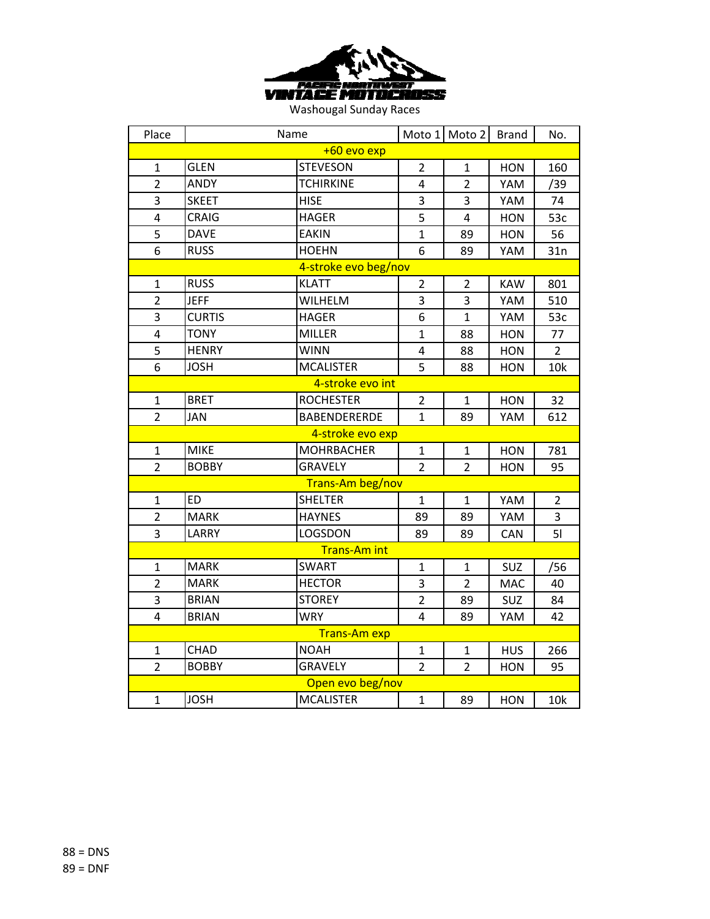

| Place            | Name          |                      |                | Moto 1 Moto 2  | <b>Brand</b> | No.            |  |
|------------------|---------------|----------------------|----------------|----------------|--------------|----------------|--|
|                  |               | +60 evo exp          |                |                |              |                |  |
| $\mathbf{1}$     | <b>GLEN</b>   | <b>STEVESON</b>      | $\overline{2}$ | $\mathbf{1}$   | <b>HON</b>   | 160            |  |
| $\overline{2}$   | <b>ANDY</b>   | <b>TCHIRKINE</b>     | 4              | $\overline{2}$ | YAM          | /39            |  |
| 3                | <b>SKEET</b>  | <b>HISE</b>          | 3              | 3              | YAM          | 74             |  |
| 4                | <b>CRAIG</b>  | <b>HAGER</b>         | 5              | $\overline{4}$ | <b>HON</b>   | 53c            |  |
| 5                | <b>DAVE</b>   | <b>EAKIN</b>         | $\mathbf{1}$   | 89             | <b>HON</b>   | 56             |  |
| 6                | <b>RUSS</b>   | <b>HOEHN</b>         | 6              | 89             | YAM          | 31n            |  |
|                  |               | 4-stroke evo beg/nov |                |                |              |                |  |
| $\mathbf{1}$     | <b>RUSS</b>   | <b>KLATT</b>         | $\overline{2}$ | $\overline{2}$ | <b>KAW</b>   | 801            |  |
| $\overline{2}$   | <b>JEFF</b>   | WILHELM              | 3              | 3              | YAM          | 510            |  |
| 3                | <b>CURTIS</b> | <b>HAGER</b>         | 6              | $\mathbf{1}$   | YAM          | 53c            |  |
| 4                | <b>TONY</b>   | <b>MILLER</b>        | $\mathbf{1}$   | 88             | <b>HON</b>   | 77             |  |
| 5                | <b>HENRY</b>  | <b>WINN</b>          | 4              | 88             | HON          | $\overline{2}$ |  |
| 6                | <b>JOSH</b>   | <b>MCALISTER</b>     | 5              | 88             | <b>HON</b>   | 10k            |  |
| 4-stroke evo int |               |                      |                |                |              |                |  |
| 1                | <b>BRET</b>   | <b>ROCHESTER</b>     | $\overline{2}$ | 1              | <b>HON</b>   | 32             |  |
| $\overline{2}$   | <b>JAN</b>    | <b>BABENDERERDE</b>  | $\mathbf{1}$   | 89             | YAM          | 612            |  |
|                  |               | 4-stroke evo exp     |                |                |              |                |  |
| $\mathbf{1}$     | <b>MIKE</b>   | <b>MOHRBACHER</b>    | $\mathbf{1}$   | $\mathbf{1}$   | <b>HON</b>   | 781            |  |
| $\overline{2}$   | <b>BOBBY</b>  | <b>GRAVELY</b>       | $\overline{2}$ | $\overline{2}$ | <b>HON</b>   | 95             |  |
|                  |               | Trans-Am beg/nov     |                |                |              |                |  |
| 1                | <b>ED</b>     | <b>SHELTER</b>       | 1              | 1              | YAM          | $\overline{2}$ |  |
| $\overline{2}$   | <b>MARK</b>   | <b>HAYNES</b>        | 89             | 89             | YAM          | 3              |  |
| 3                | LARRY         | LOGSDON              | 89             | 89             | CAN          | 51             |  |
|                  |               | Trans-Am int         |                |                |              |                |  |
| $\mathbf{1}$     | <b>MARK</b>   | <b>SWART</b>         | $\mathbf{1}$   | $\mathbf{1}$   | SUZ          | /56            |  |
| $\overline{2}$   | <b>MARK</b>   | <b>HECTOR</b>        | 3              | $\overline{2}$ | <b>MAC</b>   | 40             |  |
| 3                | <b>BRIAN</b>  | <b>STOREY</b>        | $\overline{2}$ | 89             | SUZ          | 84             |  |
| $\overline{4}$   | <b>BRIAN</b>  | <b>WRY</b>           | 4              | 89             | YAM          | 42             |  |
|                  |               | Trans-Am exp         |                |                |              |                |  |
| 1                | CHAD          | <b>NOAH</b>          | $\mathbf{1}$   | $\mathbf{1}$   | <b>HUS</b>   | 266            |  |
| $\overline{2}$   | <b>BOBBY</b>  | <b>GRAVELY</b>       | $\overline{2}$ | $\overline{2}$ | <b>HON</b>   | 95             |  |
|                  |               | Open evo beg/nov     |                |                |              |                |  |
| $\mathbf{1}$     | <b>JOSH</b>   | <b>MCALISTER</b>     | $\mathbf{1}$   | 89             | <b>HON</b>   | 10k            |  |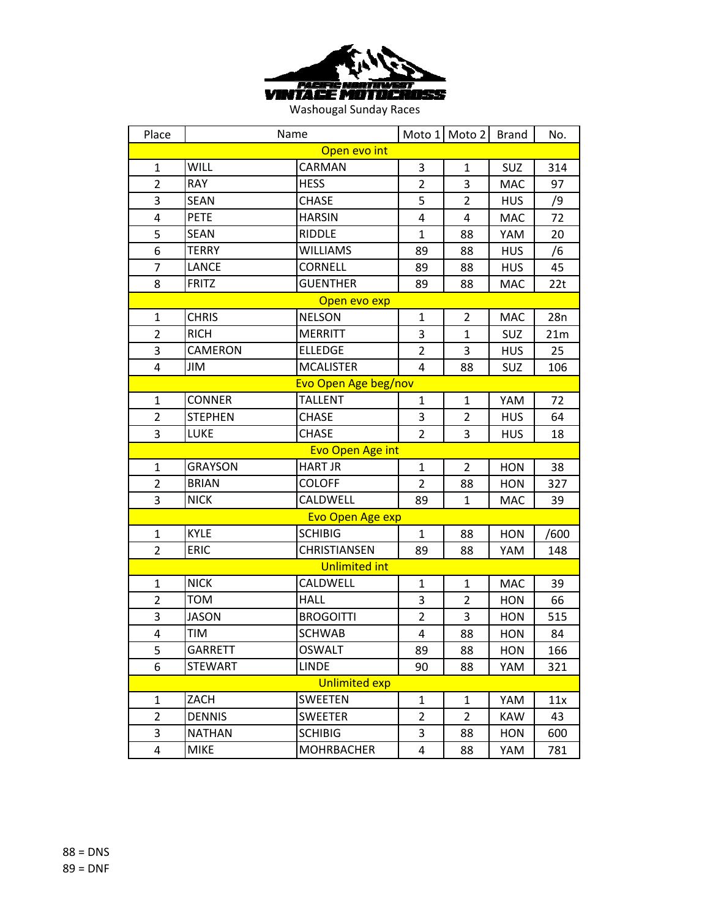

| Place          | Name                 |                         |                | Moto 1 Moto 2  | <b>Brand</b> | No.  |  |  |
|----------------|----------------------|-------------------------|----------------|----------------|--------------|------|--|--|
| Open evo int   |                      |                         |                |                |              |      |  |  |
| $\mathbf{1}$   | <b>WILL</b>          | CARMAN                  | 3              | $\mathbf{1}$   | SUZ          | 314  |  |  |
| $\overline{2}$ | <b>RAY</b>           | <b>HESS</b>             | $\overline{2}$ | 3              | <b>MAC</b>   | 97   |  |  |
| 3              | <b>SEAN</b>          | <b>CHASE</b>            | 5              | 2              | <b>HUS</b>   | /9   |  |  |
| 4              | <b>PETE</b>          | <b>HARSIN</b>           | 4              | 4              | <b>MAC</b>   | 72   |  |  |
| 5              | <b>SEAN</b>          | <b>RIDDLE</b>           | $\mathbf{1}$   | 88             | YAM          | 20   |  |  |
| 6              | <b>TERRY</b>         | <b>WILLIAMS</b>         | 89             | 88             | <b>HUS</b>   | /6   |  |  |
| 7              | <b>LANCE</b>         | <b>CORNELL</b>          | 89             | 88             | <b>HUS</b>   | 45   |  |  |
| 8              | <b>FRITZ</b>         | <b>GUENTHER</b>         | 89             | 88             | <b>MAC</b>   | 22t  |  |  |
|                |                      | Open evo exp            |                |                |              |      |  |  |
| $\mathbf{1}$   | <b>CHRIS</b>         | <b>NELSON</b>           | $\mathbf{1}$   | $\overline{2}$ | <b>MAC</b>   | 28n  |  |  |
| $\overline{2}$ | <b>RICH</b>          | <b>MERRITT</b>          | 3              | $\mathbf{1}$   | SUZ          | 21m  |  |  |
| 3              | <b>CAMERON</b>       | <b>ELLEDGE</b>          | $\overline{2}$ | 3              | <b>HUS</b>   | 25   |  |  |
| 4              | JIM                  | <b>MCALISTER</b>        | 4              | 88             | <b>SUZ</b>   | 106  |  |  |
|                | Evo Open Age beg/nov |                         |                |                |              |      |  |  |
| $\mathbf{1}$   | <b>CONNER</b>        | <b>TALLENT</b>          | $\mathbf{1}$   | $\mathbf{1}$   | YAM          | 72   |  |  |
| $\overline{2}$ | <b>STEPHEN</b>       | <b>CHASE</b>            | 3              | $\overline{2}$ | <b>HUS</b>   | 64   |  |  |
| 3              | LUKE                 | <b>CHASE</b>            | $\overline{2}$ | 3              | <b>HUS</b>   | 18   |  |  |
|                |                      | <b>Evo Open Age int</b> |                |                |              |      |  |  |
| $\mathbf{1}$   | <b>GRAYSON</b>       | <b>HART JR</b>          | $\mathbf{1}$   | $\overline{2}$ | <b>HON</b>   | 38   |  |  |
| $\overline{2}$ | <b>BRIAN</b>         | <b>COLOFF</b>           | $\overline{2}$ | 88             | <b>HON</b>   | 327  |  |  |
| 3              | <b>NICK</b>          | CALDWELL                | 89             | $\mathbf{1}$   | MAC          | 39   |  |  |
|                |                      | <b>Evo Open Age exp</b> |                |                |              |      |  |  |
| $\mathbf{1}$   | <b>KYLE</b>          | <b>SCHIBIG</b>          | $\mathbf{1}$   | 88             | <b>HON</b>   | /600 |  |  |
| $\overline{2}$ | <b>ERIC</b>          | CHRISTIANSEN            | 89             | 88             | YAM          | 148  |  |  |
|                |                      | <b>Unlimited int</b>    |                |                |              |      |  |  |
| $\mathbf{1}$   | <b>NICK</b>          | CALDWELL                | 1              | 1              | <b>MAC</b>   | 39   |  |  |
| $\overline{2}$ | <b>TOM</b>           | <b>HALL</b>             | 3              | $\overline{2}$ | <b>HON</b>   | 66   |  |  |
| 3              | <b>JASON</b>         | <b>BROGOITTI</b>        | $\overline{2}$ | 3              | <b>HON</b>   | 515  |  |  |
| 4              | <b>TIM</b>           | <b>SCHWAB</b>           | 4              | 88             | <b>HON</b>   | 84   |  |  |
| 5              | <b>GARRETT</b>       | <b>OSWALT</b>           | 89             | 88             | <b>HON</b>   | 166  |  |  |
| 6              | <b>STEWART</b>       | <b>LINDE</b>            | 90             | 88             | YAM          | 321  |  |  |
|                |                      | <b>Unlimited exp</b>    |                |                |              |      |  |  |
| $\mathbf{1}$   | ZACH                 | <b>SWEETEN</b>          | 1              | $\mathbf{1}$   | YAM          | 11x  |  |  |
| $\overline{2}$ | <b>DENNIS</b>        | <b>SWEETER</b>          | $\overline{2}$ | $\overline{2}$ | <b>KAW</b>   | 43   |  |  |
| 3              | <b>NATHAN</b>        | <b>SCHIBIG</b>          | 3              | 88             | <b>HON</b>   | 600  |  |  |
| 4              | <b>MIKE</b>          | <b>MOHRBACHER</b>       | 4              | 88             | YAM          | 781  |  |  |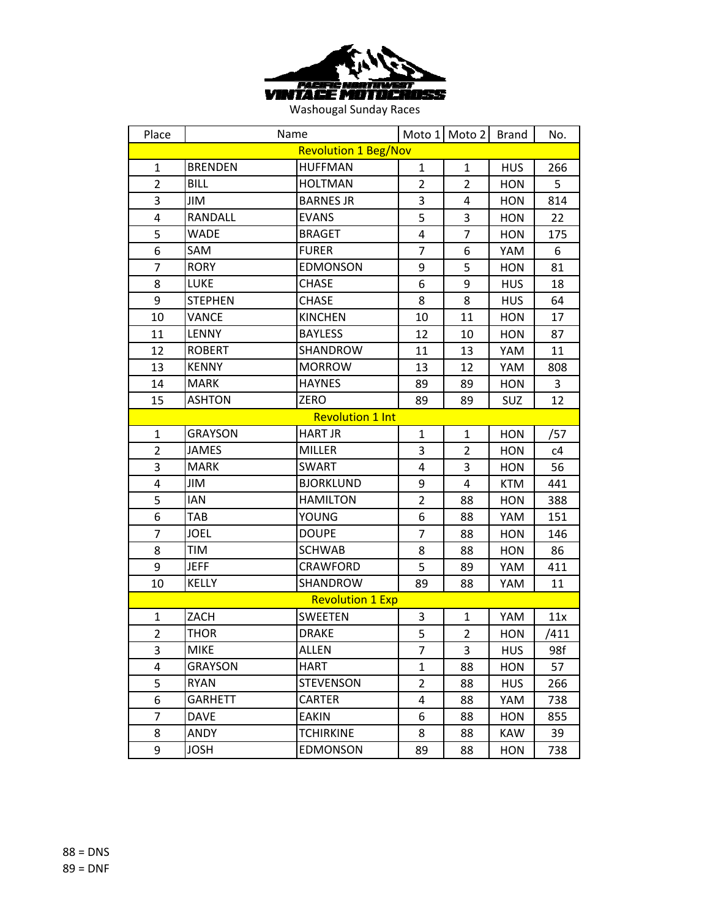

| Place                   | Name           |                             |                | Moto 1 Moto 2  | <b>Brand</b> | No.  |  |
|-------------------------|----------------|-----------------------------|----------------|----------------|--------------|------|--|
|                         |                | <b>Revolution 1 Beg/Nov</b> |                |                |              |      |  |
| $\mathbf{1}$            | <b>BRENDEN</b> | <b>HUFFMAN</b>              | $\mathbf{1}$   | $\mathbf{1}$   | <b>HUS</b>   | 266  |  |
| $\overline{2}$          | <b>BILL</b>    | <b>HOLTMAN</b>              | $\overline{2}$ | $\overline{2}$ | <b>HON</b>   | 5    |  |
| 3                       | JIM            | <b>BARNES JR</b>            | 3              | 4              | <b>HON</b>   | 814  |  |
| 4                       | RANDALL        | <b>EVANS</b>                | 5              | 3              | <b>HON</b>   | 22   |  |
| 5                       | <b>WADE</b>    | <b>BRAGET</b>               | 4              | $\overline{7}$ | <b>HON</b>   | 175  |  |
| 6                       | SAM            | <b>FURER</b>                | $\overline{7}$ | 6              | YAM          | 6    |  |
| 7                       | <b>RORY</b>    | <b>EDMONSON</b>             | 9              | 5              | <b>HON</b>   | 81   |  |
| 8                       | <b>LUKE</b>    | <b>CHASE</b>                | 6              | 9              | <b>HUS</b>   | 18   |  |
| 9                       | <b>STEPHEN</b> | <b>CHASE</b>                | 8              | 8              | <b>HUS</b>   | 64   |  |
| 10                      | VANCE          | <b>KINCHEN</b>              | 10             | 11             | <b>HON</b>   | 17   |  |
| 11                      | LENNY          | <b>BAYLESS</b>              | 12             | 10             | <b>HON</b>   | 87   |  |
| 12                      | <b>ROBERT</b>  | SHANDROW                    | 11             | 13             | YAM          | 11   |  |
| 13                      | <b>KENNY</b>   | <b>MORROW</b>               | 13             | 12             | YAM          | 808  |  |
| 14                      | <b>MARK</b>    | <b>HAYNES</b>               | 89             | 89             | <b>HON</b>   | 3    |  |
| 15                      | <b>ASHTON</b>  | ZERO                        | 89             | 89             | SUZ          | 12   |  |
| <b>Revolution 1 Int</b> |                |                             |                |                |              |      |  |
| $\mathbf{1}$            | <b>GRAYSON</b> | <b>HART JR</b>              | $\mathbf{1}$   | $\mathbf{1}$   | <b>HON</b>   | /57  |  |
| $\overline{2}$          | <b>JAMES</b>   | <b>MILLER</b>               | 3              | $\overline{2}$ | <b>HON</b>   | c4   |  |
| 3                       | <b>MARK</b>    | <b>SWART</b>                | 4              | 3              | <b>HON</b>   | 56   |  |
| 4                       | JIM            | <b>BJORKLUND</b>            | 9              | 4              | <b>KTM</b>   | 441  |  |
| 5                       | <b>IAN</b>     | <b>HAMILTON</b>             | $\overline{2}$ | 88             | <b>HON</b>   | 388  |  |
| 6                       | TAB            | YOUNG                       | 6              | 88             | YAM          | 151  |  |
| $\overline{7}$          | <b>JOEL</b>    | <b>DOUPE</b>                | $\overline{7}$ | 88             | <b>HON</b>   | 146  |  |
| 8                       | TIM            | <b>SCHWAB</b>               | 8              | 88             | <b>HON</b>   | 86   |  |
| 9                       | <b>JEFF</b>    | <b>CRAWFORD</b>             | 5              | 89             | YAM          | 411  |  |
| 10                      | <b>KELLY</b>   | SHANDROW                    | 89             | 88             | YAM          | 11   |  |
|                         |                | <b>Revolution 1 Exp</b>     |                |                |              |      |  |
| $\mathbf{1}$            | ZACH           | <b>SWEETEN</b>              | 3              | $\mathbf{1}$   | YAM          | 11x  |  |
| $\overline{2}$          | THOR           | <b>DRAKE</b>                | 5              | $\overline{2}$ | <b>HON</b>   | /411 |  |
| 3                       | <b>MIKE</b>    | <b>ALLEN</b>                | 7              | 3              | <b>HUS</b>   | 98f  |  |
| 4                       | <b>GRAYSON</b> | <b>HART</b>                 | $\mathbf{1}$   | 88             | <b>HON</b>   | 57   |  |
| 5                       | RYAN           | <b>STEVENSON</b>            | $\overline{2}$ | 88             | <b>HUS</b>   | 266  |  |
| 6                       | <b>GARHETT</b> | <b>CARTER</b>               | 4              | 88             | YAM          | 738  |  |
| $\overline{7}$          | DAVE           | EAKIN                       | 6              | 88             | <b>HON</b>   | 855  |  |
| 8                       | ANDY           | <b>TCHIRKINE</b>            | 8              | 88             | KAW          | 39   |  |
| 9                       | JOSH           | <b>EDMONSON</b>             | 89             | 88             | HON          | 738  |  |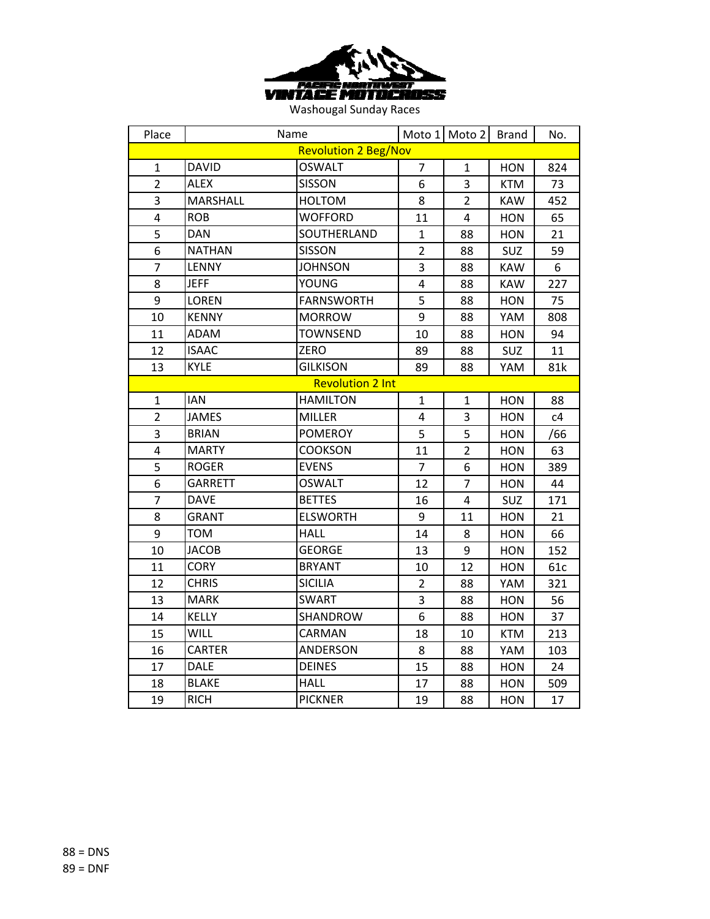

| Place                       |                         | Name              |                | Moto 1 Moto 2  | <b>Brand</b> | No. |  |  |
|-----------------------------|-------------------------|-------------------|----------------|----------------|--------------|-----|--|--|
| <b>Revolution 2 Beg/Nov</b> |                         |                   |                |                |              |     |  |  |
| $\mathbf{1}$                | <b>DAVID</b>            | <b>OSWALT</b>     | $\overline{7}$ | $\mathbf{1}$   | <b>HON</b>   | 824 |  |  |
| $\overline{2}$              | <b>ALEX</b>             | <b>SISSON</b>     | 6              | 3              | <b>KTM</b>   | 73  |  |  |
| 3                           | <b>MARSHALL</b>         | <b>HOLTOM</b>     | 8              | $\overline{2}$ | <b>KAW</b>   | 452 |  |  |
| 4                           | <b>ROB</b>              | <b>WOFFORD</b>    | 11             | 4              | <b>HON</b>   | 65  |  |  |
| 5                           | <b>DAN</b>              | SOUTHERLAND       | $\mathbf{1}$   | 88             | <b>HON</b>   | 21  |  |  |
| 6                           | <b>NATHAN</b>           | <b>SISSON</b>     | $\overline{c}$ | 88             | SUZ          | 59  |  |  |
| 7                           | LENNY                   | <b>JOHNSON</b>    | 3              | 88             | <b>KAW</b>   | 6   |  |  |
| 8                           | <b>JEFF</b>             | <b>YOUNG</b>      | 4              | 88             | <b>KAW</b>   | 227 |  |  |
| 9                           | <b>LOREN</b>            | <b>FARNSWORTH</b> | 5              | 88             | <b>HON</b>   | 75  |  |  |
| 10                          | <b>KENNY</b>            | <b>MORROW</b>     | 9              | 88             | YAM          | 808 |  |  |
| 11                          | ADAM                    | <b>TOWNSEND</b>   | 10             | 88             | <b>HON</b>   | 94  |  |  |
| 12                          | <b>ISAAC</b>            | ZERO              | 89             | 88             | SUZ          | 11  |  |  |
| 13                          | <b>KYLE</b>             | <b>GILKISON</b>   | 89             | 88             | YAM          | 81k |  |  |
|                             | <b>Revolution 2 Int</b> |                   |                |                |              |     |  |  |
| $\mathbf{1}$                | <b>IAN</b>              | <b>HAMILTON</b>   | $\mathbf{1}$   | $\mathbf{1}$   | <b>HON</b>   | 88  |  |  |
| $\overline{2}$              | <b>JAMES</b>            | <b>MILLER</b>     | 4              | 3              | <b>HON</b>   | c4  |  |  |
| 3                           | <b>BRIAN</b>            | <b>POMEROY</b>    | 5              | 5              | <b>HON</b>   | /66 |  |  |
| 4                           | <b>MARTY</b>            | <b>COOKSON</b>    | 11             | $\overline{2}$ | <b>HON</b>   | 63  |  |  |
| $\overline{5}$              | <b>ROGER</b>            | <b>EVENS</b>      | $\overline{7}$ | 6              | <b>HON</b>   | 389 |  |  |
| 6                           | <b>GARRETT</b>          | <b>OSWALT</b>     | 12             | $\overline{7}$ | <b>HON</b>   | 44  |  |  |
| 7                           | <b>DAVE</b>             | <b>BETTES</b>     | 16             | $\overline{4}$ | SUZ          | 171 |  |  |
| 8                           | <b>GRANT</b>            | <b>ELSWORTH</b>   | 9              | 11             | <b>HON</b>   | 21  |  |  |
| 9                           | <b>TOM</b>              | <b>HALL</b>       | 14             | 8              | <b>HON</b>   | 66  |  |  |
| 10                          | <b>JACOB</b>            | <b>GEORGE</b>     | 13             | 9              | <b>HON</b>   | 152 |  |  |
| 11                          | <b>CORY</b>             | <b>BRYANT</b>     | 10             | 12             | <b>HON</b>   | 61c |  |  |
| 12                          | <b>CHRIS</b>            | <b>SICILIA</b>    | $\overline{2}$ | 88             | YAM          | 321 |  |  |
| 13                          | <b>MARK</b>             | <b>SWART</b>      | 3              | 88             | <b>HON</b>   | 56  |  |  |
| 14                          | KELLY                   | SHANDROW          | 6              | 88             | <b>HON</b>   | 37  |  |  |
| 15                          | <b>WILL</b>             | CARMAN            | 18             | 10             | <b>KTM</b>   | 213 |  |  |
| 16                          | <b>CARTER</b>           | ANDERSON          | 8              | 88             | YAM          | 103 |  |  |
| 17                          | <b>DALE</b>             | <b>DEINES</b>     | 15             | 88             | <b>HON</b>   | 24  |  |  |
| 18                          | <b>BLAKE</b>            | <b>HALL</b>       | 17             | 88             | <b>HON</b>   | 509 |  |  |
| 19                          | <b>RICH</b>             | <b>PICKNER</b>    | 19             | 88             | <b>HON</b>   | 17  |  |  |